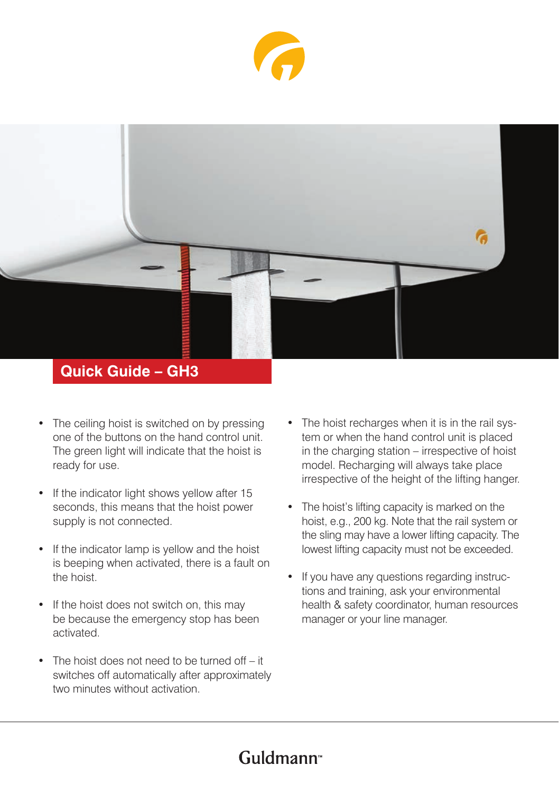



### **Quick Guide – GH3**

- The ceiling hoist is switched on by pressing one of the buttons on the hand control unit. The green light will indicate that the hoist is ready for use.
- If the indicator light shows yellow after 15 seconds, this means that the hoist power supply is not connected.
- If the indicator lamp is yellow and the hoist is beeping when activated, there is a fault on the hoist.
- If the hoist does not switch on, this may be because the emergency stop has been activated.
- The hoist does not need to be turned off it switches off automatically after approximately two minutes without activation.
- The hoist recharges when it is in the rail system or when the hand control unit is placed in the charging station – irrespective of hoist model. Recharging will always take place irrespective of the height of the lifting hanger.
- The hoist's lifting capacity is marked on the hoist, e.g., 200 kg. Note that the rail system or the sling may have a lower lifting capacity. The lowest lifting capacity must not be exceeded.
- If you have any questions regarding instructions and training, ask your environmental health & safety coordinator, human resources manager or your line manager.

# Guldmann<sup>®</sup>